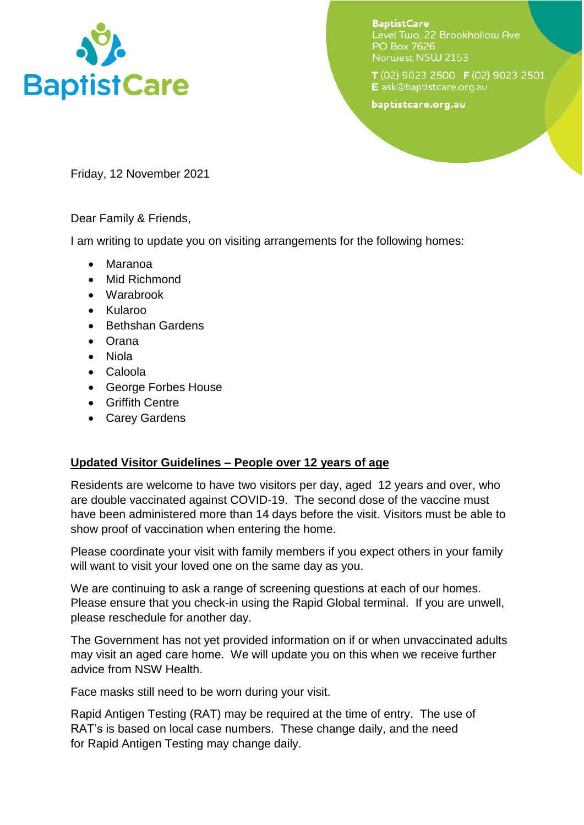

**BaptistCare** Level Two, 22 Brookhollow Ave **PO Box 7626** Norwest NSW 2153

T (02) 9023 2500 F (02) 9023 2501 E ask@baptistcare.org.au

baptistcare.org.au

Friday, 12 November 2021

Dear Family & Friends,

I am writing to update you on visiting arrangements for the following homes:

- Maranoa
- Mid Richmond
- Warabrook
- Kularoo
- Bethshan Gardens
- Orana
- Niola
- Caloola
- George Forbes House
- Griffith Centre
- Carey Gardens

## **Updated Visitor Guidelines – People over 12 years of age**

Residents are welcome to have two visitors per day, aged 12 years and over, who are double vaccinated against COVID-19. The second dose of the vaccine must have been administered more than 14 days before the visit. Visitors must be able to show proof of vaccination when entering the home.

Please coordinate your visit with family members if you expect others in your family will want to visit your loved one on the same day as you.

We are continuing to ask a range of screening questions at each of our homes. Please ensure that you check-in using the Rapid Global terminal. If you are unwell, please reschedule for another day.

The Government has not yet provided information on if or when unvaccinated adults may visit an aged care home. We will update you on this when we receive further advice from NSW Health.

Face masks still need to be worn during your visit.

Rapid Antigen Testing (RAT) may be required at the time of entry. The use of RAT's is based on local case numbers. These change daily, and the need for Rapid Antigen Testing may change daily.